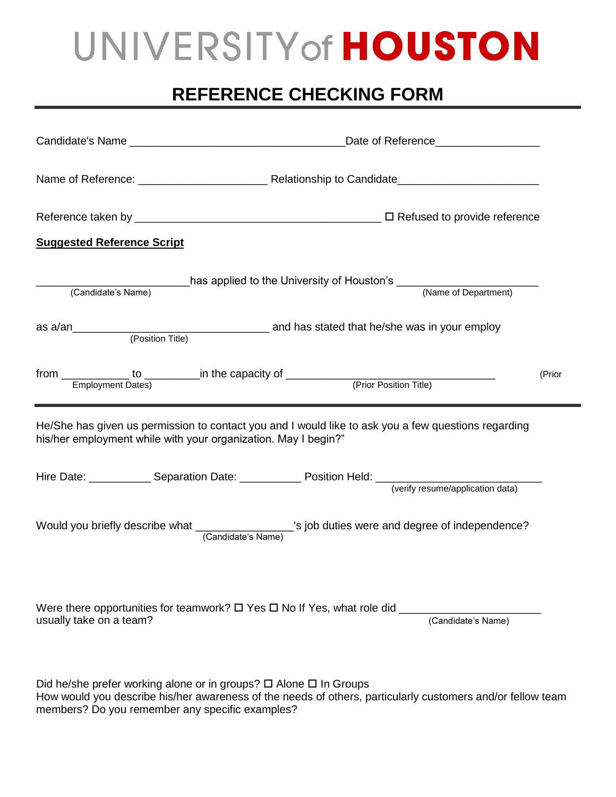## UNIVERSITY of HOUSTON

## **REFERENCE CHECKING FORM**

| <b>Suggested Reference Script</b> |                                                                                                                                                                       |                    |        |
|-----------------------------------|-----------------------------------------------------------------------------------------------------------------------------------------------------------------------|--------------------|--------|
| (Candidate's Name)                | has applied to the University of Houston's (Name of Department)                                                                                                       |                    |        |
|                                   |                                                                                                                                                                       |                    |        |
|                                   |                                                                                                                                                                       |                    | (Prior |
|                                   | He/She has given us permission to contact you and I would like to ask you a few questions regarding<br>his/her employment while with your organization. May I begin?" |                    |        |
|                                   |                                                                                                                                                                       |                    |        |
|                                   | Would you briefly describe what ________________'s job duties were and degree of independence?<br>(Candidate's Name)                                                  |                    |        |
| usually take on a team?           |                                                                                                                                                                       | (Candidate's Name) |        |
|                                   | Did he/she prefer working alone or in groups? □ Alone □ In Groups                                                                                                     |                    |        |

How would you describe his/her awareness of the needs of others, particularly customers and/or fellow team members? Do you remember any specific examples?